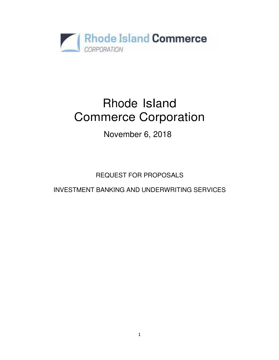

# Rhode Island Commerce Corporation

November 6, 2018

REQUEST FOR PROPOSALS

INVESTMENT BANKING AND UNDERWRITING SERVICES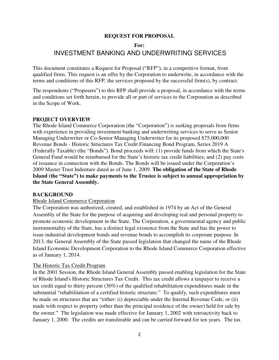#### **REQUEST FOR PROPOSAL**

#### **For:**

# INVESTMENT BANKING AND UNDERWRITING SERVICES

This document constitutes a Request for Proposal ("RFP"), in a competitive format, from qualified firms. This request is an offer by the Corporation to underwrite, in accordance with the terms and conditions of this RFP, the services proposed by the successful firm(s), by contract.

The respondents ("Proposers") to this RFP shall provide a proposal, in accordance with the terms and conditions set forth herein, to provide all or part of services to the Corporation as described in the Scope of Work.

#### **PROJECT OVERVIEW**

The Rhode Island Commerce Corporation (the "Corporation") is seeking proposals from firms with experience in providing investment banking and underwriting services to serve as Senior Managing Underwriter or Co-Senior Managing Underwriter for its proposed \$75,000,000 Revenue Bonds - Historic Structures Tax Credit Financing Bond Program, Series 2019 A (Federally Taxable) (the "Bonds"). Bond proceeds will: (1) provide funds from which the State's General Fund would be reimbursed for the State's historic tax credit liabilities; and (2) pay costs of issuance in connection with the Bonds. The Bonds will be issued under the Corporation's 2009 Master Trust Indenture dated as of June 1, 2009. **The obligation of the State of Rhode Island (the "State") to make payments to the Trustee is subject to annual appropriation by the State General Assembly.**

#### **BACKGROUND**

#### Rhode Island Commerce Corporation

The Corporation was authorized, created, and established in 1974 by an Act of the General Assembly of the State for the purpose of acquiring and developing real and personal property to promote economic development in the State. The Corporation, a governmental agency and public instrumentality of the State, has a distinct legal existence from the State and has the power to issue industrial development bonds and revenue bonds to accomplish its corporate purpose. In 2013, the General Assembly of the State passed legislation that changed the name of the Rhode Island Economic Development Corporation to the Rhode Island Commerce Corporation effective as of January 1, 2014.

#### The Historic Tax Credit Program

In the 2001 Session, the Rhode Island General Assembly passed enabling legislation for the State of Rhode Island's Historic Structures Tax Credit. This tax credit allows a taxpayer to receive a tax credit equal to thirty percent (30%) of the qualified rehabilitation expenditures made in the substantial "rehabilitation of a certified historic structure." To qualify, such expenditures must be made on structures that are "either: (i) depreciable under the Internal Revenue Code, or (ii) made with respect to property (other than the principal residence of the owner) held for sale by the owner." The legislation was made effective for January 1, 2002 with retroactivity back to January 1, 2000. The credits are transferable and can be carried forward for ten years. The tax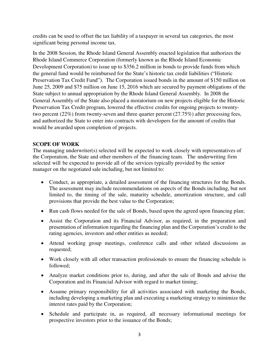credits can be used to offset the tax liability of a taxpayer in several tax categories, the most significant being personal income tax.

In the 2008 Session, the Rhode Island General Assembly enacted legislation that authorizes the Rhode Island Commerce Corporation (formerly known as the Rhode Island Economic Development Corporation) to issue up to \$356.2 million in bonds to provide funds from which the general fund would be reimbursed for the State's historic tax credit liabilities ("Historic Preservation Tax Credit Fund"). The Corporation issued bonds in the amount of \$150 million on June 25, 2009 and \$75 million on June 15, 2016 which are secured by payment obligations of the State subject to annual appropriation by the Rhode Island General Assembly. In 2008 the General Assembly of the State also placed a moratorium on new projects eligible for the Historic Preservation Tax Credit program, lowered the effective credits for ongoing projects to twentytwo percent (22%) from twenty-seven and three quarter percent (27.75%) after processing fees, and authorized the State to enter into contracts with developers for the amount of credits that would be awarded upon completion of projects.

### **SCOPE OF WORK**

The managing underwriter(s) selected will be expected to work closely with representatives of the Corporation, the State and other members of the financing team. The underwriting firm selected will be expected to provide all of the services typically provided by the senior manager on the negotiated sale including, but not limited to:

- Conduct, as appropriate, a detailed assessment of the financing structures for the Bonds. The assessment may include recommendations on aspects of the Bonds including, but not limited to, the timing of the sale, maturity schedule, amortization structure, and call provisions that provide the best value to the Corporation;
- Run cash flows needed for the sale of Bonds, based upon the agreed upon financing plan;
- Assist the Corporation and its Financial Advisor, as required, in the preparation and presentation of information regarding the financing plan and the Corporation's credit to the rating agencies, investors and other entities as needed;
- Attend working group meetings, conference calls and other related discussions as requested;
- Work closely with all other transaction professionals to ensure the financing schedule is followed;
- Analyze market conditions prior to, during, and after the sale of Bonds and advise the Corporation and its Financial Advisor with regard to market timing;
- Assume primary responsibility for all activities associated with marketing the Bonds, including developing a marketing plan and executing a marketing strategy to minimize the interest rates paid by the Corporation;
- Schedule and participate in, as required, all necessary informational meetings for prospective investors prior to the issuance of the Bonds;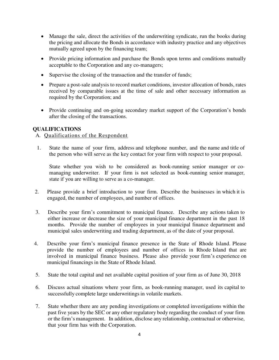- Manage the sale, direct the activities of the underwriting syndicate, run the books during the pricing and allocate the Bonds in accordance with industry practice and any objectives mutually agreed upon by the financing team;
- Provide pricing information and purchase the Bonds upon terms and conditions mutually acceptable to the Corporation and any co-managers;
- Supervise the closing of the transaction and the transfer of funds;
- Prepare a post-sale analysis to record market conditions, investor allocation of bonds, rates received by comparable issues at the time of sale and other necessary information as required by the Corporation; and
- Provide continuing and on-going secondary market support of the Corporation's bonds after the closing of the transactions.

# **QUALIFICATIONS**

# A. Qualifications of the Respondent

1. State the name of your firm, address and telephone number, and the name and title of the person who will serve as the key contact for your firm with respect to your proposal.

State whether you wish to be considered as book-running senior manager or comanaging underwriter. If your firm is not selected as book-running senior manager, state if you are willing to serve as a co-manager.

- 2. Please provide a brief introduction to your firm. Describe the businesses in which it is engaged, the number of employees, and number of offices.
- 3. Describe your firm's commitment to municipal finance. Describe any actions taken to either increase or decrease the size of your municipal finance department in the past 18 months. Provide the number of employees in your municipal finance department and municipal sales underwriting and trading department, as of the date of your proposal.
- 4. Describe your firm's municipal finance presence in the State of Rhode Island. Please provide the number of employees and number of offices in Rhode Island that are involved in municipal finance business. Please also provide your firm's experience on municipal financings in the State of Rhode Island.
- 5. State the total capital and net available capital position of your firm as of June 30, 2018
- 6. Discuss actual situations where your firm, as book-running manager, used its capital to successfully complete large underwritings in volatile markets.
- 7. State whether there are any pending investigations or completed investigations within the past five years by the SEC or any other regulatory body regarding the conduct of your firm or the firm's management. In addition, disclose any relationship, contractual or otherwise, that your firm has with the Corporation.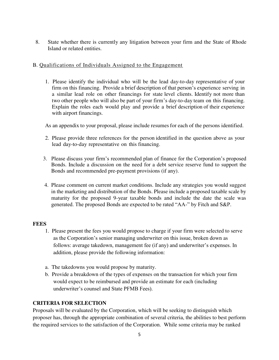8. State whether there is currently any litigation between your firm and the State of Rhode Island or related entities.

# B. Qualifications of Individuals Assigned to the Engagement

1. Please identify the individual who will be the lead day-to-day representative of your firm on this financing. Provide a brief description of that person's experience serving in a similar lead role on other financings for state level clients. Identify not more than two other people who will also be part of your firm's day-to-day team on this financing. Explain the roles each would play and provide a brief description of their experience with airport financings.

As an appendix to your proposal, please include resumes for each of the persons identified.

- 2. Please provide three references for the person identified in the question above as your lead day-to-day representative on this financing.
- 3. Please discuss your firm's recommended plan of finance for the Corporation's proposed Bonds. Include a discussion on the need for a debt service reserve fund to support the Bonds and recommended pre-payment provisions (if any).
- 4. Please comment on current market conditions. Include any strategies you would suggest in the marketing and distribution of the Bonds. Please include a proposed taxable scale by maturity for the proposed 9-year taxable bonds and include the date the scale was generated. The proposed Bonds are expected to be rated "AA-" by Fitch and S&P.

# **FEES**

- 1. Please present the fees you would propose to charge if your firm were selected to serve as the Corporation's senior managing underwriter on this issue, broken down as follows: average takedown, management fee (if any) and underwriter's expenses. In addition, please provide the following information:
- a. The takedowns you would propose by maturity.
- b. Provide a breakdown of the types of expenses on the transaction for which your firm would expect to be reimbursed and provide an estimate for each (including underwriter's counsel and State PFMB Fees).

# **CRITERIA FOR SELECTION**

Proposals will be evaluated by the Corporation, which will be seeking to distinguish which proposer has, through the appropriate combination of several criteria, the abilities to best perform the required services to the satisfaction of the Corporation. While some criteria may be ranked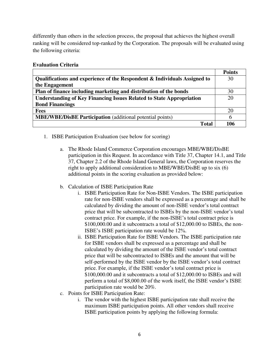differently than others in the selection process, the proposal that achieves the highest overall ranking will be considered top-ranked by the Corporation. The proposals will be evaluated using the following criteria:

### **Evaluation Criteria**

|                                                                             | <b>Points</b> |
|-----------------------------------------------------------------------------|---------------|
| Qualifications and experience of the Respondent & Individuals Assigned to   | 30            |
| the Engagement                                                              |               |
| Plan of finance including marketing and distribution of the bonds           | 30            |
| <b>Understanding of Key Financing Issues Related to State Appropriation</b> | 20            |
| <b>Bond Financings</b>                                                      |               |
| <b>Fees</b>                                                                 | 20            |
| <b>MBE/WBE/DisBE Participation</b> (additional potential points)            | h             |
| <b>Total</b>                                                                | 106           |

- 1. ISBE Participation Evaluation (see below for scoring)
	- a. The Rhode Island Commerce Corporation encourages MBE/WBE/DisBE participation in this Request. In accordance with Title 37, Chapter 14.1, and Title 37, Chapter 2.2 of the Rhode Island General laws, the Corporation reserves the right to apply additional consideration to MBE/WBE/DisBE up to six (6) additional points in the scoring evaluation as provided below:
	- b. Calculation of ISBE Participation Rate
		- i. ISBE Participation Rate for Non-ISBE Vendors. The ISBE participation rate for non-ISBE vendors shall be expressed as a percentage and shall be calculated by dividing the amount of non-ISBE vendor's total contract price that will be subcontracted to ISBEs by the non-ISBE vendor's total contract price. For example, if the non-ISBE's total contract price is \$100,000.00 and it subcontracts a total of \$12,000.00 to ISBEs, the non-ISBE's ISBE participation rate would be 12%.
		- ii. ISBE Participation Rate for ISBE Vendors. The ISBE participation rate for ISBE vendors shall be expressed as a percentage and shall be calculated by dividing the amount of the ISBE vendor's total contract price that will be subcontracted to ISBEs and the amount that will be self-performed by the ISBE vendor by the ISBE vendor's total contract price. For example, if the ISBE vendor's total contract price is \$100,000.00 and it subcontracts a total of \$12,000.00 to ISBEs and will perform a total of \$8,000.00 of the work itself, the ISBE vendor's ISBE participation rate would be 20%.
	- c. Points for ISBE Participation Rate:
		- i. The vendor with the highest ISBE participation rate shall receive the maximum ISBE participation points. All other vendors shall receive ISBE participation points by applying the following formula: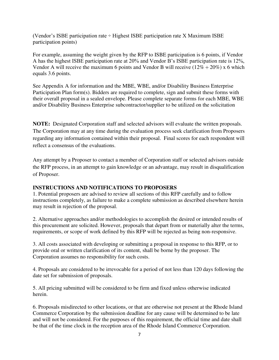(Vendor's ISBE participation rate ÷ Highest ISBE participation rate X Maximum ISBE participation points)

For example, assuming the weight given by the RFP to ISBE participation is 6 points, if Vendor A has the highest ISBE participation rate at 20% and Vendor B's ISBE participation rate is 12%, Vendor A will receive the maximum 6 points and Vendor B will receive  $(12\% \div 20\%)$  x 6 which equals 3.6 points.

See Appendix A for information and the MBE, WBE, and/or Disability Business Enterprise Participation Plan form(s). Bidders are required to complete, sign and submit these forms with their overall proposal in a sealed envelope. Please complete separate forms for each MBE, WBE and/or Disability Business Enterprise subcontractor/supplier to be utilized on the solicitation

**NOTE:** Designated Corporation staff and selected advisors will evaluate the written proposals. The Corporation may at any time during the evaluation process seek clarification from Proposers regarding any information contained within their proposal. Final scores for each respondent will reflect a consensus of the evaluations.

Any attempt by a Proposer to contact a member of Corporation staff or selected advisors outside the RFP process, in an attempt to gain knowledge or an advantage, may result in disqualification of Proposer.

# **INSTRUCTIONS AND NOTIFICATIONS TO PROPOSERS**

1. Potential proposers are advised to review all sections of this RFP carefully and to follow instructions completely, as failure to make a complete submission as described elsewhere herein may result in rejection of the proposal.

2. Alternative approaches and/or methodologies to accomplish the desired or intended results of this procurement are solicited. However, proposals that depart from or materially alter the terms, requirements, or scope of work defined by this RFP will be rejected as being non-responsive.

3. All costs associated with developing or submitting a proposal in response to this RFP, or to provide oral or written clarification of its content, shall be borne by the proposer. The Corporation assumes no responsibility for such costs.

4. Proposals are considered to be irrevocable for a period of not less than 120 days following the date set for submission of proposals.

5. All pricing submitted will be considered to be firm and fixed unless otherwise indicated herein.

6. Proposals misdirected to other locations, or that are otherwise not present at the Rhode Island Commerce Corporation by the submission deadline for any cause will be determined to be late and will not be considered. For the purposes of this requirement, the official time and date shall be that of the time clock in the reception area of the Rhode Island Commerce Corporation.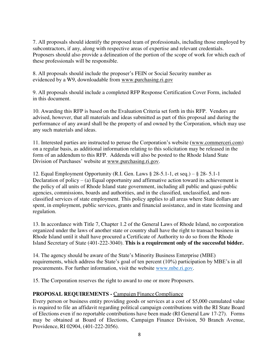7. All proposals should identify the proposed team of professionals, including those employed by subcontractors, if any, along with respective areas of expertise and relevant credentials. Proposers should also provide a delineation of the portion of the scope of work for which each of these professionals will be responsible.

8. All proposals should include the proposer's FEIN or Social Security number as evidenced by a W9, downloadable from [www.purchasing.ri.gov](file://///prapp12/data$/ACCOUNTING/REQUEST%20FOR%20PROPOSALS%20FOLDER/2016%20RFP) 

9. All proposals should include a completed RFP Response Certification Cover Form, included in this document.

10. Awarding this RFP is based on the Evaluation Criteria set forth in this RFP. Vendors are advised, however, that all materials and ideas submitted as part of this proposal and during the performance of any award shall be the property of and owned by the Corporation, which may use any such materials and ideas.

11. Interested parties are instructed to peruse the Corporation's website ([www.commerceri.com\)](file://///prapp12/data$/ACCOUNTING/REQUEST%20FOR%20PROPOSALS%20FOLDER/2016%20RFP) on a regular basis, as additional information relating to this solicitation may be released in the form of an addendum to this RFP. Addenda will also be posted to the Rhode Island State Division of Purchases' website at [www.purchasing.ri.gov.](http://www.purchasing.ri.gov/)

12. Equal Employment Opportunity (R.I. Gen. Laws § 28-5.1-1, et seq.) – § 28- 5.1-1 Declaration of policy – (a) Equal opportunity and affirmative action toward its achievement is the policy of all units of Rhode Island state government, including all public and quasi-public agencies, commissions, boards and authorities, and in the classified, unclassified, and nonclassified services of state employment. This policy applies to all areas where State dollars are spent, in employment, public services, grants and financial assistance, and in state licensing and regulation.

13. In accordance with Title 7, Chapter 1.2 of the General Laws of Rhode Island, no corporation organized under the laws of another state or country shall have the right to transact business in Rhode Island until it shall have procured a Certificate of Authority to do so from the Rhode Island Secretary of State (401-222-3040). **This is a requirement only of the successful bidder.**

14. The agency should be aware of the State's Minority Business Enterprise (MBE) requirements, which address the State's goal of ten percent (10%) participation by MBE's in all procurements. For further information, visit the website [www.mbe.ri.gov.](http://www.mbe.ri.gov/)

15. The Corporation reserves the right to award to one or more Proposers.

# **PROPOSAL REQUIREMENTS -** Campaign Finance Compliance

Every person or business entity providing goods or services at a cost of \$5,000 cumulated value is required to file an affidavit regarding political campaign contributions with the RI State Board of Elections even if no reportable contributions have been made (RI General Law 17-27). Forms may be obtained at Board of Elections, Campaign Finance Division, 50 Branch Avenue, Providence, RI 02904, (401-222-2056).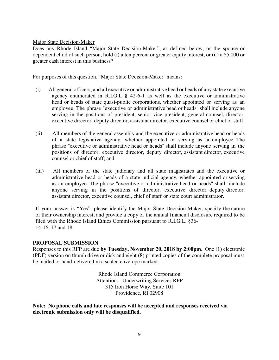Major State Decision-Maker

Does any Rhode Island "Major State Decision-Maker", as defined below, or the spouse or dependent child of such person, hold (i) a ten percent or greater equity interest, or (ii) a \$5,000 or greater cash interest in this business?

For purposes of this question, "Major State Decision-Maker" means:

- (i) All general officers; and all executive or administrative head or heads of any state executive agency enumerated in R.I.G.L § 42-6-1 as well as the executive or administrative head or heads of state quasi-public corporations, whether appointed or serving as an employee. The phrase "executive or administrative head or heads" shall include anyone serving in the positions of president, senior vice president, general counsel, director, executive director, deputy director, assistant director, executive counsel or chief of staff;
- (ii) All members of the general assembly and the executive or administrative head or heads of a state legislative agency, whether appointed or serving as an employee. The phrase "executive or administrative head or heads" shall include anyone serving in the positions of director, executive director, deputy director, assistant director, executive counsel or chief of staff; and
- (iii) All members of the state judiciary and all state magistrates and the executive or administrative head or heads of a state judicial agency, whether appointed or serving as an employee. The phrase "executive or administrative head or heads" shall include anyone serving in the positions of director, executive director, deputy director, assistant director, executive counsel, chief of staff or state court administrator.

If your answer is "Yes", please identify the Major State Decision-Maker, specify the nature of their ownership interest, and provide a copy of the annual financial disclosure required to be filed with the Rhode Island Ethics Commission pursuant to R.I.G.L. §36- 14-16, 17 and 18.

#### **PROPOSAL SUBMISSION**

Responses to this RFP are due **by Tuesday, November 20, 2018 by 2:00pm**. One (1) electronic (PDF) version on thumb drive or disk and eight (8) printed copies of the complete proposal must be mailed or hand-delivered in a sealed envelope marked:

> Rhode Island Commerce Corporation Attention: Underwriting Services RFP 315 Iron Horse Way, Suite 101 Providence, RI 02908

**Note: No phone calls and late responses will be accepted and responses received via electronic submission only will be disqualified.**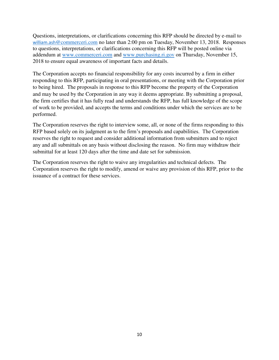Questions, interpretations, or clarifications concerning this RFP should be directed by e-mail to william.ash[@commerceri.com](mailto:william.ash@commerceri.com) no later than 2:00 pm on Tuesday, November 13, 2018. Responses to questions, interpretations, or clarifications concerning this RFP will be posted online via addendum at [www.commerceri.com](http://www.commerceri.com/) and [www.purchasing.ri.gov](http://www.purchasing.ri.gov/) on Thursday, November 15, 2018 to ensure equal awareness of important facts and details.

The Corporation accepts no financial responsibility for any costs incurred by a firm in either responding to this RFP, participating in oral presentations, or meeting with the Corporation prior to being hired. The proposals in response to this RFP become the property of the Corporation and may be used by the Corporation in any way it deems appropriate. By submitting a proposal, the firm certifies that it has fully read and understands the RFP, has full knowledge of the scope of work to be provided, and accepts the terms and conditions under which the services are to be performed.

The Corporation reserves the right to interview some, all, or none of the firms responding to this RFP based solely on its judgment as to the firm's proposals and capabilities. The Corporation reserves the right to request and consider additional information from submitters and to reject any and all submittals on any basis without disclosing the reason. No firm may withdraw their submittal for at least 120 days after the time and date set for submission.

The Corporation reserves the right to waive any irregularities and technical defects. The Corporation reserves the right to modify, amend or waive any provision of this RFP, prior to the issuance of a contract for these services.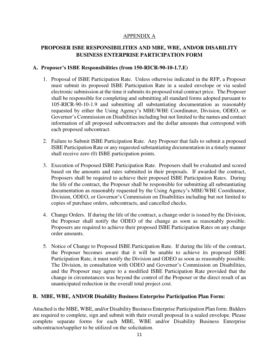# APPENDIX A

# **PROPOSER ISBE RESPONSIBILITIES AND MBE, WBE, AND/OR DISABILITY BUSINESS ENTERPRISE PARTICIPATION FORM**

#### **A. Proposer's ISBE Responsibilities (from 150-RICR-90-10-1.7.E)**

- 1. Proposal of ISBE Participation Rate. Unless otherwise indicated in the RFP, a Proposer must submit its proposed ISBE Participation Rate in a sealed envelope or via sealed electronic submission at the time it submits its proposed total contract price. The Proposer shall be responsible for completing and submitting all standard forms adopted pursuant to 105-RICR-90-10-1.9 and submitting all substantiating documentation as reasonably requested by either the Using Agency's MBE/WBE Coordinator, Division, ODEO, or Governor's Commission on Disabilities including but not limited to the names and contact information of all proposed subcontractors and the dollar amounts that correspond with each proposed subcontract.
- 2. Failure to Submit ISBE Participation Rate. Any Proposer that fails to submit a proposed ISBE Participation Rate or any requested substantiating documentation in a timely manner shall receive zero (0) ISBE participation points.
- 3. Execution of Proposed ISBE Participation Rate. Proposers shall be evaluated and scored based on the amounts and rates submitted in their proposals. If awarded the contract, Proposers shall be required to achieve their proposed ISBE Participation Rates. During the life of the contract, the Proposer shall be responsible for submitting all substantiating documentation as reasonably requested by the Using Agency's MBE/WBE Coordinator, Division, ODEO, or Governor's Commission on Disabilities including but not limited to copies of purchase orders, subcontracts, and cancelled checks.
- 4. Change Orders. If during the life of the contract, a change order is issued by the Division, the Proposer shall notify the ODEO of the change as soon as reasonably possible. Proposers are required to achieve their proposed ISBE Participation Rates on any change order amounts.
- 5. Notice of Change to Proposed ISBE Participation Rate. If during the life of the contract, the Proposer becomes aware that it will be unable to achieve its proposed ISBE Participation Rate, it must notify the Division and ODEO as soon as reasonably possible. The Division, in consultation with ODEO and Governor's Commission on Disabilities, and the Proposer may agree to a modified ISBE Participation Rate provided that the change in circumstances was beyond the control of the Proposer or the direct result of an unanticipated reduction in the overall total project cost.

# **B. MBE, WBE, AND/OR Disability Business Enterprise Participation Plan Form:**

Attached is the MBE, WBE, and/or Disability Business Enterprise Participation Plan form. Bidders are required to complete, sign and submit with their overall proposal in a sealed envelope. Please complete separate forms for each MBE, WBE and/or Disability Business Enterprise subcontractor/supplier to be utilized on the solicitation.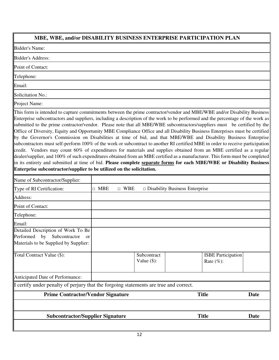# **MBE, WBE, and/or DISABILITY BUSINESS ENTERPRISE PARTICIPATION PLAN**

Bidder's Name:

Bidder's Address:

Point of Contact:

Telephone:

Email:

Solicitation No.:

Project Name:

This form is intended to capture commitments between the prime contractor/vendor and MBE/WBE and/or Disability Business Enterprise subcontractors and suppliers, including a description of the work to be performed and the percentage of the work as submitted to the prime contractor/vendor. Please note that all MBE/WBE subcontractors/suppliers must be certified by the Office of Diversity, Equity and Opportunity MBE Compliance Office and all Disability Business Enterprises must be certified by the Governor's Commission on Disabilities at time of bid, and that MBE/WBE and Disability Business Enterprise subcontractors must self-perform 100% of the work or subcontract to another RI certified MBE in order to receive participation credit. Vendors may count 60% of expenditures for materials and supplies obtained from an MBE certified as a regular dealer/supplier, and 100% of such expenditures obtained from an MBE certified as a manufacturer. This form must be completed in its entirety and submitted at time of bid. **Please complete separate forms for each MBE/WBE or Disability Business Enterprise subcontractor/supplier to be utilized on the solicitation.**

| <b>Subcontractor/Supplier Signature</b>                                                                                |                      |            | <b>Title</b>                          | <b>Date</b>                               |      |
|------------------------------------------------------------------------------------------------------------------------|----------------------|------------|---------------------------------------|-------------------------------------------|------|
| <b>Prime Contractor/Vendor Signature</b>                                                                               |                      |            |                                       | <b>Title</b>                              | Date |
| I certify under penalty of perjury that the forgoing statements are true and correct.                                  |                      |            |                                       |                                           |      |
| Anticipated Date of Performance:                                                                                       |                      |            |                                       |                                           |      |
| Total Contract Value (\$):                                                                                             |                      |            | Subcontract<br>Value $(\$)$ :         | <b>ISBE</b> Participation<br>Rate $(\%):$ |      |
| Detailed Description of Work To Be<br>Performed by Subcontractor<br><b>or</b><br>Materials to be Supplied by Supplier: |                      |            |                                       |                                           |      |
| Email:                                                                                                                 |                      |            |                                       |                                           |      |
| Telephone:                                                                                                             |                      |            |                                       |                                           |      |
| Point of Contact:                                                                                                      |                      |            |                                       |                                           |      |
| Address:                                                                                                               |                      |            |                                       |                                           |      |
| Type of RI Certification:                                                                                              | <b>MBE</b><br>$\Box$ | $\Box$ WBE | $\Box$ Disability Business Enterprise |                                           |      |
| Name of Subcontractor/Supplier:                                                                                        |                      |            |                                       |                                           |      |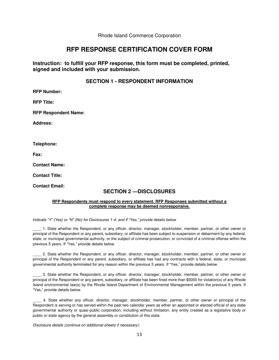Rhode Island Commerce Corporation

# **RFP RESPONSE CERTIFICATION COVER FORM**

**Instruction: to fulfill your RFP response, this form must be completed, printed, signed and included with your submission.** 

#### **SECTION 1 - RESPONDENT INFORMATION**

**RFP Number:** 

**RFP Title:** 

**RFP Respondent Name:** 

**Address:** 

**Telephone:** 

**Fax:** 

**Contact Name:** 

**Contact Title:** 

**Contact Email:** 

# **SECTION 2 —DISCLOSURES**

#### **RFP Respondents must respond to every statement. RFP Responses submitted without a complete response may be deemed nonresponsive.**

*Indicate "Y" (Yes) or "N" (No) for Disclosures 1*-*4, and if "Yes," provide details below* 

\_\_\_\_ 1. State whether the Respondent, or any officer, director, manager, stockholder, member, partner, or other owner or principal of the Respondent or any parent, subsidiary, or affiliate has been subject to suspension or debarment by any federal, state, or municipal governmental authority, or the subject of criminal prosecution, or convicted of a criminal offense within the previous 5 years. If "Yes," provide details below.

\_\_\_\_ 2. State whether the Respondent, or any officer, director, manager, stockholder, member, partner, or other owner or principal of the Respondent or any parent, subsidiary, or affiliate has had any contracts with a federal, state, or municipal governmental authority terminated for any reason within the previous 5 years. If "Yes," provide details below.

\_\_\_\_ 3. State whether the Respondent, or any officer, director, manager, stockholder, member, partner, or other owner or principal of the Respondent or any parent, subsidiary, or affiliate has been fined more than \$5000 for violation(s) of any Rhode Island environmental law(s) by the Rhode Island Department of Environmental Management within the previous 5 years. If "Yes," provide details below.

\_\_\_\_ 4. State whether any officer, director, manager, stockholder, member, partner, or other owner or principal of the Respondent is serving or has served within the past two calendar years as either an appointed or elected official of any state governmental authority or quasi-public corporation, including without limitation, any entity created as a legislative body or public or state agency by the general assembly or constitution of this state.

Disclosure details (continue on additional sheets if necessary):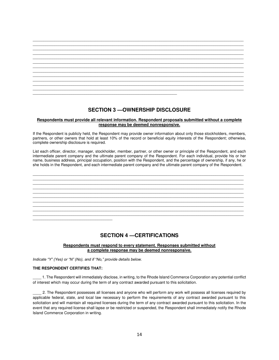

### **SECTION 3 —OWNERSHIP DISCLOSURE**

#### **Respondents must provide all relevant information. Respondent proposals submitted without a complete response may be deemed nonresponsive.**

If the Respondent is publicly held, the Respondent may provide owner information about only those stockholders, members, partners, or other owners that hold at least 10% of the record or beneficial equity interests of the Respondent; otherwise, complete ownership disclosure is required.

List each officer, director, manager, stockholder, member, partner, or other owner or principle of the Respondent, and each intermediate parent company and the ultimate parent company of the Respondent. For each individual, provide his or her name, business address, principal occupation, position with the Respondent, and the percentage of ownership, if any, he or she holds in the Respondent, and each intermediate parent company and the ultimate parent company of the Respondent.



#### **SECTION 4 —CERTIFICATIONS**

#### **Respondents must respond to every statement. Responses submitted without a complete response may be deemed nonresponsive.**

*Indicate "Y" (Yes) or "N" (No), and if "No," provide details below.* 

#### **THE RESPONDENT CERTIFIES THAT:**

\_\_\_\_ 1. The Respondent will immediately disclose, in writing, to the Rhode Island Commerce Corporation any potential conflict of interest which may occur during the term of any contract awarded pursuant to this solicitation.

\_\_\_\_ 2. The Respondent possesses all licenses and anyone who will perform any work will possess all licenses required by applicable federal, state, and local law necessary to perform the requirements of any contract awarded pursuant to this solicitation and will maintain all required licenses during the term of any contract awarded pursuant to this solicitation. In the event that any required license shall lapse or be restricted or suspended, the Respondent shall immediately notify the Rhode Island Commerce Corporation in writing.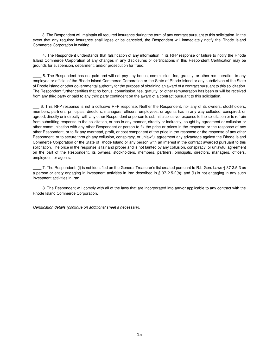\_\_\_\_ 3. The Respondent will maintain all required insurance during the term of any contract pursuant to this solicitation. In the event that any required insurance shall lapse or be canceled, the Respondent will immediately notify the Rhode Island Commerce Corporation in writing.

\_\_\_\_ 4. The Respondent understands that falsification of any information in its RFP response or failure to notify the Rhode Island Commerce Corporation of any changes in any disclosures or certifications in this Respondent Certification may be grounds for suspension, debarment, and/or prosecution for fraud.

\_\_\_\_ 5. The Respondent has not paid and will not pay any bonus, commission, fee, gratuity, or other remuneration to any employee or official of the Rhode Island Commerce Corporation or the State of Rhode Island or any subdivision of the State of Rhode Island or other governmental authority for the purpose of obtaining an award of a contract pursuant to this solicitation. The Respondent further certifies that no bonus, commission, fee, gratuity, or other remuneration has been or will be received from any third party or paid to any third party contingent on the award of a contract pursuant to this solicitation.

\_\_\_ 6. This RFP response is not a collusive RFP response. Neither the Respondent, nor any of its owners, stockholders, members, partners, principals, directors, managers, officers, employees, or agents has in any way colluded, conspired, or agreed, directly or indirectly, with any other Respondent or person to submit a collusive response to the solicitation or to refrain from submitting response to the solicitation, or has in any manner, directly or indirectly, sought by agreement or collusion or other communication with any other Respondent or person to fix the price or prices in the response or the response of any other Respondent, or to fix any overhead, profit, or cost component of the price in the response or the response of any other Respondent, or to secure through any collusion, conspiracy, or unlawful agreement any advantage against the Rhode Island Commerce Corporation or the State of Rhode Island or any person with an interest in the contract awarded pursuant to this solicitation. The price in the response is fair and proper and is not tainted by any collusion, conspiracy, or unlawful agreement on the part of the Respondent, its owners, stockholders, members, partners, principals, directors, managers, officers, employees, or agents.

\_\_\_\_ 7. The Respondent: (i) is not identified on the General Treasurer's list created pursuant to R.I. Gen. Laws § 37-2.5-3 as a person or entity engaging in investment activities in Iran described in § 37-2.5-2(b); and (ii) is not engaging in any such investment activities in Iran.

\_\_\_\_ 8. The Respondent will comply with all of the laws that are incorporated into and/or applicable to any contract with the Rhode Island Commerce Corporation.

Certification details (continue on additional sheet if necessary):